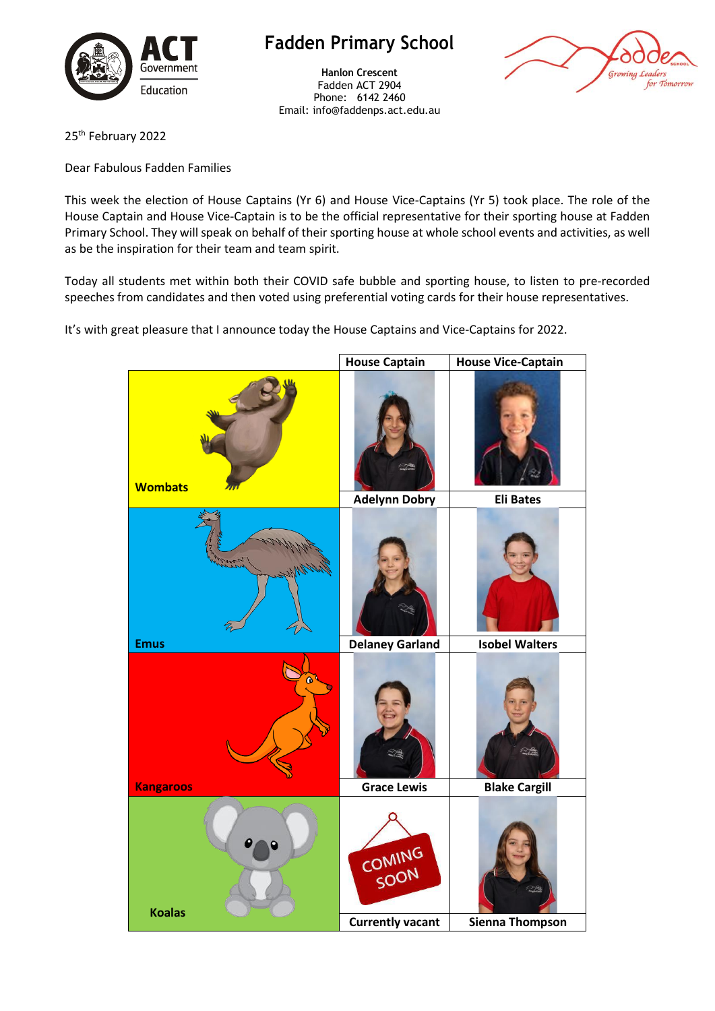

## **Fadden Primary School**

**Hanlon Crescent** Fadden ACT 2904 Phone: 6142 2460 Email: info@faddenps.act.edu.au



25<sup>th</sup> February 2022

Dear Fabulous Fadden Families

This week the election of House Captains (Yr 6) and House Vice-Captains (Yr 5) took place. The role of the House Captain and House Vice-Captain is to be the official representative for their sporting house at Fadden Primary School. They will speak on behalf of their sporting house at whole school events and activities, as well as be the inspiration for their team and team spirit.

Today all students met within both their COVID safe bubble and sporting house, to listen to pre-recorded speeches from candidates and then voted using preferential voting cards for their house representatives.

It's with great pleasure that I announce today the House Captains and Vice-Captains for 2022.

|                  | <b>House Captain</b>    | <b>House Vice-Captain</b> |
|------------------|-------------------------|---------------------------|
| <b>Wombats</b>   |                         |                           |
|                  | <b>Adelynn Dobry</b>    | <b>Eli Bates</b>          |
|                  |                         |                           |
| <b>Emus</b>      | <b>Delaney Garland</b>  | <b>Isobel Walters</b>     |
| $\bullet$        |                         | $\gamma_{\rm e}$          |
| <b>Kangaroos</b> | <b>Grace Lewis</b>      | <b>Blake Cargill</b>      |
| <b>Koalas</b>    | COMING<br>SOON          |                           |
|                  | <b>Currently vacant</b> | <b>Sienna Thompson</b>    |